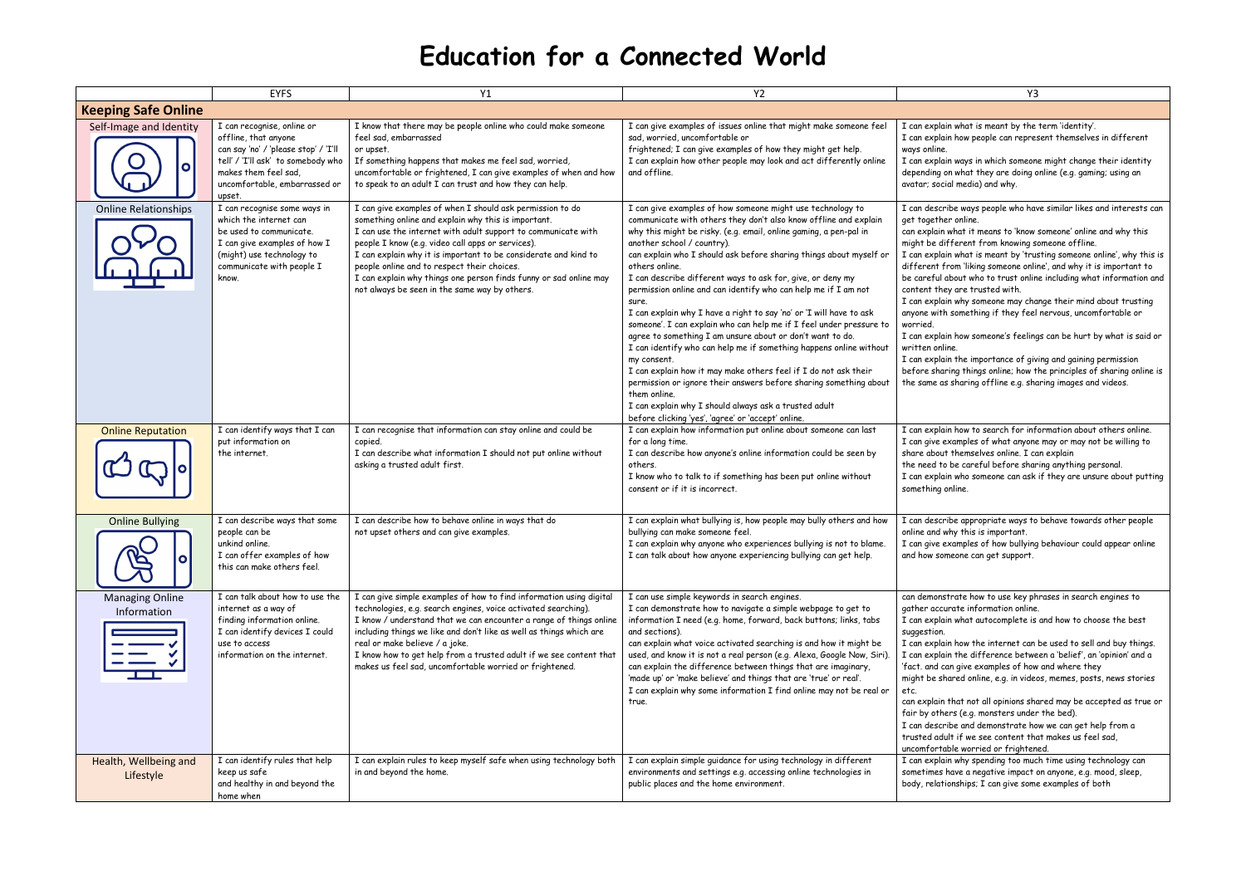## **Education for a Connected World**

|                                                    | <b>EYFS</b>                                                                                                                                                                                         | Y1                                                                                                                                                                                                                                                                                                                                                                                                                                                                             | <b>Y2</b>                                                                                                                                                                                                                                                                                                                                                                                                                                                                                                                                                                                                                                                                                                                                                                                                                                                                                                                                                                                                                                 | Y3                                                                                                                                                                                                                                                                                                                                                                                                                                                                                                                                                                                                                                                                                                                                                                                                                                                                                                                          |  |  |
|----------------------------------------------------|-----------------------------------------------------------------------------------------------------------------------------------------------------------------------------------------------------|--------------------------------------------------------------------------------------------------------------------------------------------------------------------------------------------------------------------------------------------------------------------------------------------------------------------------------------------------------------------------------------------------------------------------------------------------------------------------------|-------------------------------------------------------------------------------------------------------------------------------------------------------------------------------------------------------------------------------------------------------------------------------------------------------------------------------------------------------------------------------------------------------------------------------------------------------------------------------------------------------------------------------------------------------------------------------------------------------------------------------------------------------------------------------------------------------------------------------------------------------------------------------------------------------------------------------------------------------------------------------------------------------------------------------------------------------------------------------------------------------------------------------------------|-----------------------------------------------------------------------------------------------------------------------------------------------------------------------------------------------------------------------------------------------------------------------------------------------------------------------------------------------------------------------------------------------------------------------------------------------------------------------------------------------------------------------------------------------------------------------------------------------------------------------------------------------------------------------------------------------------------------------------------------------------------------------------------------------------------------------------------------------------------------------------------------------------------------------------|--|--|
| <b>Keeping Safe Online</b>                         |                                                                                                                                                                                                     |                                                                                                                                                                                                                                                                                                                                                                                                                                                                                |                                                                                                                                                                                                                                                                                                                                                                                                                                                                                                                                                                                                                                                                                                                                                                                                                                                                                                                                                                                                                                           |                                                                                                                                                                                                                                                                                                                                                                                                                                                                                                                                                                                                                                                                                                                                                                                                                                                                                                                             |  |  |
| Self-Image and Identity<br>$\bullet$               | I can recognise, online or<br>offline, that anyone<br>can say 'no' / 'please stop' / 'I'll<br>tell' / 'I'll ask' to somebody who<br>makes them feel sad,<br>uncomfortable, embarrassed or<br>upset. | I know that there may be people online who could make someone<br>feel sad, embarrassed<br>or upset.<br>If something happens that makes me feel sad, worried,<br>uncomfortable or frightened, I can give examples of when and how<br>to speak to an adult I can trust and how they can help.                                                                                                                                                                                    | I can give examples of issues online that might make someone feel<br>sad, worried, uncomfortable or<br>frightened; I can give examples of how they might get help.<br>I can explain how other people may look and act differently online<br>and offline.                                                                                                                                                                                                                                                                                                                                                                                                                                                                                                                                                                                                                                                                                                                                                                                  | I can explain what is meant by the term 'identity'.<br>I can explain how people can represent themselves in different<br>ways online.<br>I can explain ways in which someone might change their identity<br>depending on what they are doing online (e.g. gaming; using an<br>avatar; social media) and why.                                                                                                                                                                                                                                                                                                                                                                                                                                                                                                                                                                                                                |  |  |
| <b>Online Relationships</b>                        | I can recognise some ways in<br>which the internet can<br>be used to communicate.<br>I can give examples of how I<br>(might) use technology to<br>communicate with people I<br>know.                | I can give examples of when I should ask permission to do<br>something online and explain why this is important.<br>I can use the internet with adult support to communicate with<br>people I know (e.g. video call apps or services).<br>I can explain why it is important to be considerate and kind to<br>people online and to respect their choices.<br>I can explain why things one person finds funny or sad online may<br>not always be seen in the same way by others. | I can give examples of how someone might use technology to<br>communicate with others they don't also know offline and explain<br>why this might be risky. (e.g. email, online gaming, a pen-pal in<br>another school / country).<br>can explain who I should ask before sharing things about myself or<br>others online.<br>I can describe different ways to ask for, give, or deny my<br>permission online and can identify who can help me if I am not<br>sure.<br>I can explain why I have a right to say 'no' or 'I will have to ask<br>someone'. I can explain who can help me if I feel under pressure to<br>agree to something I am unsure about or don't want to do.<br>I can identify who can help me if something happens online without<br>my consent.<br>I can explain how it may make others feel if I do not ask their<br>permission or ignore their answers before sharing something about<br>them online.<br>I can explain why I should always ask a trusted adult<br>before clicking 'yes', 'agree' or 'accept' online. | I can describe ways people who have similar likes and interests can<br>get together online.<br>can explain what it means to 'know someone' online and why this<br>might be different from knowing someone offline.<br>I can explain what is meant by 'trusting someone online', why this is<br>different from 'liking someone online', and why it is important to<br>be careful about who to trust online including what information and<br>content they are trusted with.<br>I can explain why someone may change their mind about trusting<br>anyone with something if they feel nervous, uncomfortable or<br>worried.<br>I can explain how someone's feelings can be hurt by what is said or<br>written online.<br>I can explain the importance of giving and gaining permission<br>before sharing things online; how the principles of sharing online is<br>the same as sharing offline e.g. sharing images and videos. |  |  |
| <b>Online Reputation</b>                           | I can identify ways that I can<br>put information on<br>the internet.                                                                                                                               | I can recognise that information can stay online and could be<br>copied.<br>I can describe what information I should not put online without<br>asking a trusted adult first.                                                                                                                                                                                                                                                                                                   | I can explain how information put online about someone can last<br>for a long time.<br>I can describe how anyone's online information could be seen by<br>others.<br>I know who to talk to if something has been put online without<br>consent or if it is incorrect.                                                                                                                                                                                                                                                                                                                                                                                                                                                                                                                                                                                                                                                                                                                                                                     | I can explain how to search for information about others online.<br>I can give examples of what anyone may or may not be willing to<br>share about themselves online. I can explain<br>the need to be careful before sharing anything personal.<br>I can explain who someone can ask if they are unsure about putting<br>something online.                                                                                                                                                                                                                                                                                                                                                                                                                                                                                                                                                                                  |  |  |
| <b>Online Bullying</b><br>$\mathcal{Q}$<br>IO<br>9 | I can describe ways that some<br>people can be<br>unkind online.<br>I can offer examples of how<br>this can make others feel.                                                                       | I can describe how to behave online in ways that do<br>not upset others and can give examples.                                                                                                                                                                                                                                                                                                                                                                                 | I can explain what bullying is, how people may bully others and how<br>bullying can make someone feel.<br>I can explain why anyone who experiences bullying is not to blame.<br>I can talk about how anyone experiencing bullying can get help.                                                                                                                                                                                                                                                                                                                                                                                                                                                                                                                                                                                                                                                                                                                                                                                           | I can describe appropriate ways to behave towards other people<br>online and why this is important.<br>I can give examples of how bullying behaviour could appear online<br>and how someone can get support.                                                                                                                                                                                                                                                                                                                                                                                                                                                                                                                                                                                                                                                                                                                |  |  |
| <b>Managing Online</b><br>Information<br>III       | I can talk about how to use the<br>internet as a way of<br>finding information online.<br>I can identify devices I could<br>use to access<br>information on the internet.                           | I can give simple examples of how to find information using digital<br>technologies, e.g. search engines, voice activated searching).<br>I know / understand that we can encounter a range of things online<br>including things we like and don't like as well as things which are<br>real or make believe / a joke.<br>I know how to get help from a trusted adult if we see content that<br>makes us feel sad, uncomfortable worried or frightened.                          | I can use simple keywords in search engines.<br>I can demonstrate how to navigate a simple webpage to get to<br>information I need (e.g. home, forward, back buttons; links, tabs<br>and sections).<br>can explain what voice activated searching is and how it might be<br>used, and know it is not a real person (e.g. Alexa, Google Now, Siri).<br>can explain the difference between things that are imaginary,<br>'made up' or 'make believe' and things that are 'true' or real'.<br>I can explain why some information I find online may not be real or<br>true.                                                                                                                                                                                                                                                                                                                                                                                                                                                                   | can demonstrate how to use key phrases in search engines to<br>gather accurate information online.<br>I can explain what autocomplete is and how to choose the best<br>suggestion.<br>I can explain how the internet can be used to sell and buy things.<br>I can explain the difference between a 'belief', an 'opinion' and a<br>'fact. and can give examples of how and where they<br>might be shared online, e.g. in videos, memes, posts, news stories<br>can explain that not all opinions shared may be accepted as true or<br>fair by others (e.g. monsters under the bed).<br>I can describe and demonstrate how we can get help from a<br>trusted adult if we see content that makes us feel sad,<br>uncomfortable worried or frightened.                                                                                                                                                                         |  |  |
| Health, Wellbeing and<br>Lifestyle                 | I can identify rules that help<br>keep us safe<br>and healthy in and beyond the<br>home when                                                                                                        | I can explain rules to keep myself safe when using technology both<br>in and beyond the home.                                                                                                                                                                                                                                                                                                                                                                                  | I can explain simple guidance for using technology in different<br>environments and settings e.g. accessing online technologies in<br>public places and the home environment.                                                                                                                                                                                                                                                                                                                                                                                                                                                                                                                                                                                                                                                                                                                                                                                                                                                             | I can explain why spending too much time using technology can<br>sometimes have a negative impact on anyone, e.g. mood, sleep,<br>body, relationships; I can give some examples of both                                                                                                                                                                                                                                                                                                                                                                                                                                                                                                                                                                                                                                                                                                                                     |  |  |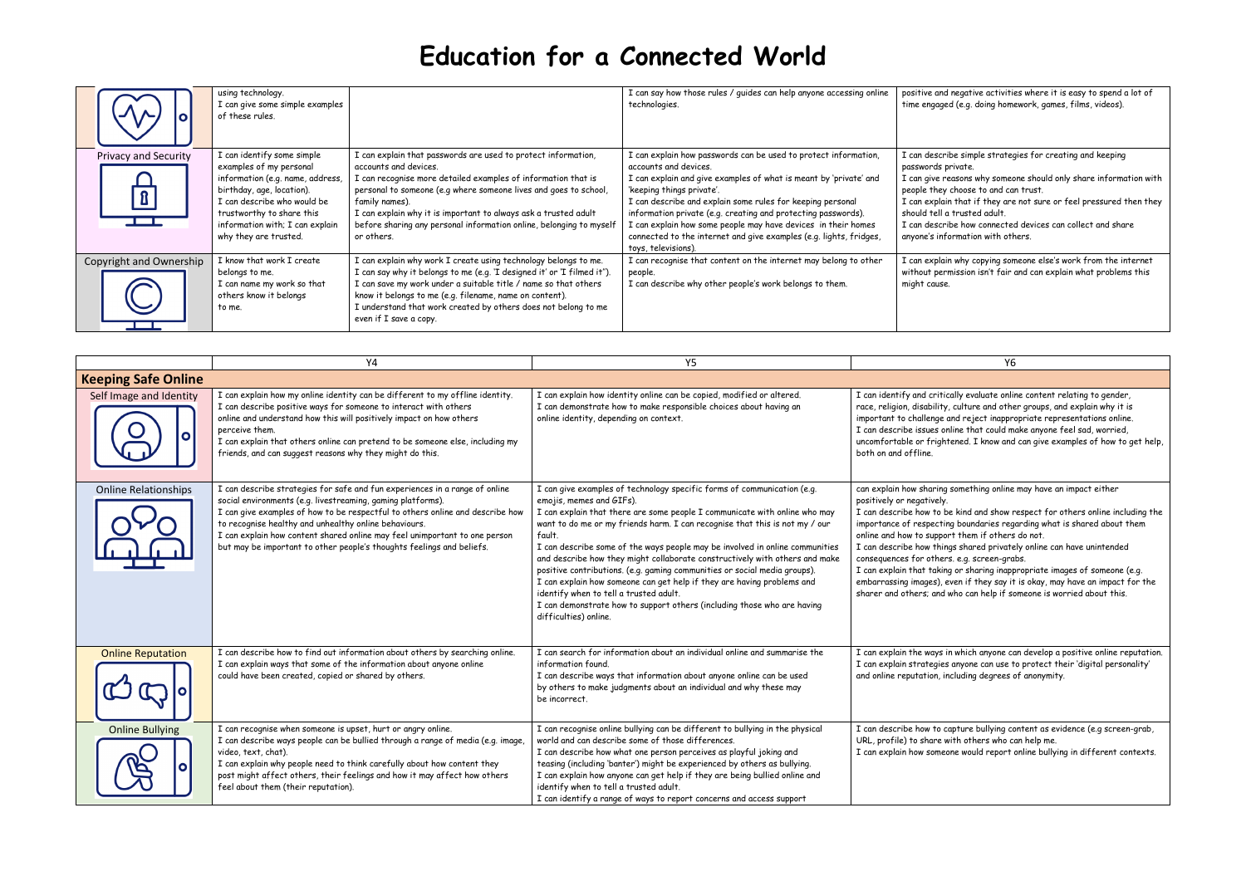## **Education for a Connected World**

|                             | using technology.<br>I can give some simple examples<br>of these rules.                                                                                                                                                                        |                                                                                                                                                                                                                                                                                                                                                                                                       | I can say how those rules / guides can help anyone accessing online<br>technologies.                                                                                                                                                                                                                                                                                                                                                                                                    | positive an<br>time engag                                                                                        |
|-----------------------------|------------------------------------------------------------------------------------------------------------------------------------------------------------------------------------------------------------------------------------------------|-------------------------------------------------------------------------------------------------------------------------------------------------------------------------------------------------------------------------------------------------------------------------------------------------------------------------------------------------------------------------------------------------------|-----------------------------------------------------------------------------------------------------------------------------------------------------------------------------------------------------------------------------------------------------------------------------------------------------------------------------------------------------------------------------------------------------------------------------------------------------------------------------------------|------------------------------------------------------------------------------------------------------------------|
| <b>Privacy and Security</b> | I can identify some simple<br>examples of my personal<br>information (e.g. name, address,<br>birthday, age, location).<br>I can describe who would be<br>trustworthy to share this<br>information with; I can explain<br>why they are trusted. | I can explain that passwords are used to protect information,<br>accounts and devices.<br>I can recognise more detailed examples of information that is<br>personal to someone (e.g where someone lives and goes to school,<br>family names).<br>I can explain why it is important to always ask a trusted adult<br>before sharing any personal information online, belonging to myself<br>or others. | I can explain how passwords can be used to protect information,<br>accounts and devices.<br>I can explain and give examples of what is meant by 'private' and<br>'keeping things private'.<br>I can describe and explain some rules for keeping personal<br>information private (e.g. creating and protecting passwords).<br>I can explain how some people may have devices in their homes<br>connected to the internet and give examples (e.g. lights, fridges,<br>toys, televisions). | I can desci<br>passwords<br>I can give<br>people the<br>I can explo<br>should tell<br>I can desci<br>anyone's in |
| Copyright and Ownership     | I know that work I create<br>belongs to me.<br>I can name my work so that<br>others know it belongs<br>to me.                                                                                                                                  | I can explain why work I create using technology belongs to me.<br>I can say why it belongs to me (e.g. 'I designed it' or 'I filmed it").<br>I can save my work under a suitable title / name so that others<br>know it belongs to me (e.g. filename, name on content).<br>I understand that work created by others does not belong to me<br>even if I save a copy.                                  | I can recognise that content on the internet may belong to other<br>people.<br>I can describe why other people's work belongs to them.                                                                                                                                                                                                                                                                                                                                                  | I can explo<br>without pe<br>might caus                                                                          |

|                                      | Y4                                                                                                                                                                                                                                                                                                                                                                                                                                          | Y5                                                                                                                                                                                                                                                                                                                                                                                                                                                                                                                                                                                                                                                                                                                                             | Y6                                                                                                                                                                                                                                                                                                                                                                                                                                       |
|--------------------------------------|---------------------------------------------------------------------------------------------------------------------------------------------------------------------------------------------------------------------------------------------------------------------------------------------------------------------------------------------------------------------------------------------------------------------------------------------|------------------------------------------------------------------------------------------------------------------------------------------------------------------------------------------------------------------------------------------------------------------------------------------------------------------------------------------------------------------------------------------------------------------------------------------------------------------------------------------------------------------------------------------------------------------------------------------------------------------------------------------------------------------------------------------------------------------------------------------------|------------------------------------------------------------------------------------------------------------------------------------------------------------------------------------------------------------------------------------------------------------------------------------------------------------------------------------------------------------------------------------------------------------------------------------------|
| <b>Keeping Safe Online</b>           |                                                                                                                                                                                                                                                                                                                                                                                                                                             |                                                                                                                                                                                                                                                                                                                                                                                                                                                                                                                                                                                                                                                                                                                                                |                                                                                                                                                                                                                                                                                                                                                                                                                                          |
| Self Image and Identity<br>$\bullet$ | I can explain how my online identity can be different to my offline identity.<br>I can describe positive ways for someone to interact with others<br>online and understand how this will positively impact on how others<br>perceive them.<br>I can explain that others online can pretend to be someone else, including my<br>friends, and can suggest reasons why they might do this.                                                     | I can explain how identity online can be copied, modified or altered.<br>I can demonstrate how to make responsible choices about having an<br>online identity, depending on context.                                                                                                                                                                                                                                                                                                                                                                                                                                                                                                                                                           | I can identify and critically evaluate onli<br>race, religion, disability, culture and othe<br>important to challenge and reject inappre<br>I can describe issues online that could m<br>uncomfortable or frightened. I know and<br>both on and offline.                                                                                                                                                                                 |
| <b>Online Relationships</b>          | I can describe strategies for safe and fun experiences in a range of online<br>social environments (e.g. livestreaming, gaming platforms).<br>I can give examples of how to be respectful to others online and describe how<br>to recognise healthy and unhealthy online behaviours.<br>I can explain how content shared online may feel unimportant to one person<br>but may be important to other people's thoughts feelings and beliefs. | I can give examples of technology specific forms of communication (e.g.<br>emojis, memes and GIFs).<br>I can explain that there are some people I communicate with online who may<br>want to do me or my friends harm. I can recognise that this is not my / our<br>fault.<br>I can describe some of the ways people may be involved in online communities<br>and describe how they might collaborate constructively with others and make<br>positive contributions. (e.g. gaming communities or social media groups).<br>I can explain how someone can get help if they are having problems and<br>identify when to tell a trusted adult.<br>I can demonstrate how to support others (including those who are having<br>difficulties) online. | can explain how sharing something online<br>positively or negatively.<br>I can describe how to be kind and show r<br>importance of respecting boundaries reg<br>online and how to support them if others<br>I can describe how things shared private<br>consequences for others. e.g. screen-gra<br>I can explain that taking or sharing inapp<br>embarrassing images), even if they say it<br>sharer and others; and who can help if so |
| <b>Online Reputation</b>             | I can describe how to find out information about others by searching online.<br>I can explain ways that some of the information about anyone online<br>could have been created, copied or shared by others.                                                                                                                                                                                                                                 | I can search for information about an individual online and summarise the<br>information found.<br>I can describe ways that information about anyone online can be used<br>by others to make judgments about an individual and why these may<br>be incorrect.                                                                                                                                                                                                                                                                                                                                                                                                                                                                                  | I can explain the ways in which anyone co<br>I can explain strategies anyone can use t<br>and online reputation, including degrees o                                                                                                                                                                                                                                                                                                     |
| <b>Online Bullying</b>               | I can recognise when someone is upset, hurt or angry online.<br>I can describe ways people can be bullied through a range of media (e.g. image,<br>video, text, chat).<br>I can explain why people need to think carefully about how content they<br>post might affect others, their feelings and how it may affect how others<br>feel about them (their reputation).                                                                       | I can recognise online bullying can be different to bullying in the physical<br>world and can describe some of those differences.<br>I can describe how what one person perceives as playful joking and<br>teasing (including 'banter') might be experienced by others as bullying.<br>I can explain how anyone can get help if they are being bullied online and<br>identify when to tell a trusted adult.<br>I can identify a range of ways to report concerns and access support                                                                                                                                                                                                                                                            | I can describe how to capture bullying co<br>URL, profile) to share with others who c<br>I can explain how someone would report                                                                                                                                                                                                                                                                                                          |

nd negative activities where it is easy to spend a lot of ged (e.g. doing homework, games, films, videos).

- ribe simple strategies for creating and keeping s private.
- reasons why someone should only share information with ey choose to and can trust.
- lain that if they are not sure or feel pressured then they I a trusted adult.
- ribe how connected devices can collect and share nformation with others.

lain why copying someone else's work from the internet ermission isn't fair and can explain what problems this se.

tically evaluate online content relating to gender, ity, culture and other groups, and explain why it is ge and reject inappropriate representations online. online that could make anyone feel sad, worried, ghtened. I know and can give examples of how to get help,

ng something online may have an impact either

 $\mathbf b$  be kind and show respect for others online including the ting boundaries regarding what is shared about them port them if others do not.

- .<br>Iings shared privately online can have unintended ers. e.g. screen-grabs.
- $\epsilon$  ar sharing inappropriate images of someone (e.g. , even if they say it is okay, may have an impact for the nd who can help if someone is worried about this.

s in which anyone can develop a positive online reputation. ies anyone can use to protect their 'digital personality' including degrees of anonymity.

capture bullying content as evidence (e.g screen-grab, with others who can help me.

neone would report online bullying in different contexts.